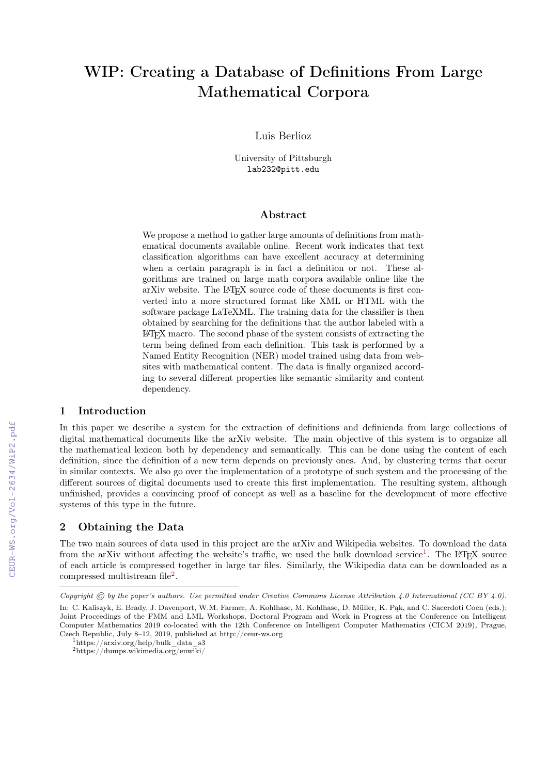# WIP: Creating a Database of Definitions From Large Mathematical Corpora

Luis Berlioz

University of Pittsburgh lab232@pitt.edu

## Abstract

We propose a method to gather large amounts of definitions from mathematical documents available online. Recent work indicates that text classification algorithms can have excellent accuracy at determining when a certain paragraph is in fact a definition or not. These algorithms are trained on large math corpora available online like the arXiv website. The LATEX source code of these documents is first converted into a more structured format like XML or HTML with the software package LaTeXML. The training data for the classifier is then obtained by searching for the definitions that the author labeled with a LATEX macro. The second phase of the system consists of extracting the term being defined from each definition. This task is performed by a Named Entity Recognition (NER) model trained using data from websites with mathematical content. The data is finally organized according to several different properties like semantic similarity and content dependency.

## 1 Introduction

In this paper we describe a system for the extraction of definitions and definienda from large collections of digital mathematical documents like the arXiv website. The main objective of this system is to organize all the mathematical lexicon both by dependency and semantically. This can be done using the content of each definition, since the definition of a new term depends on previously ones. And, by clustering terms that occur in similar contexts. We also go over the implementation of a prototype of such system and the processing of the different sources of digital documents used to create this first implementation. The resulting system, although unfinished, provides a convincing proof of concept as well as a baseline for the development of more effective systems of this type in the future.

## 2 Obtaining the Data

The two main sources of data used in this project are the arXiv and Wikipedia websites. To download the data from the arXiv without affecting the website's traffic, we used the bulk download service<sup>[1](#page-0-0)</sup>. The L<sup>A</sup>T<sub>E</sub>X source of each article is compressed together in large tar files. Similarly, the Wikipedia data can be downloaded as a compressed multistream file<sup>[2](#page-0-1)</sup>.

Copyright  $\odot$  by the paper's authors. Use permitted under Creative Commons License Attribution 4.0 International (CC BY 4.0).

In: C. Kaliszyk, E. Brady, J. Davenport, W.M. Farmer, A. Kohlhase, M. Kohlhase, D. Müller, K. Pąk, and C. Sacerdoti Coen (eds.): Joint Proceedings of the FMM and LML Workshops, Doctoral Program and Work in Progress at the Conference on Intelligent Computer Mathematics 2019 co-located with the 12th Conference on Intelligent Computer Mathematics (CICM 2019), Prague, Czech Republic, July 8–12, 2019, published at http://ceur-ws.org

<span id="page-0-0"></span> $1$ https://arxiv.org/help/bulk data s3

<span id="page-0-1"></span> $^{2}$ https://dumps.wikimedia.org/enwiki/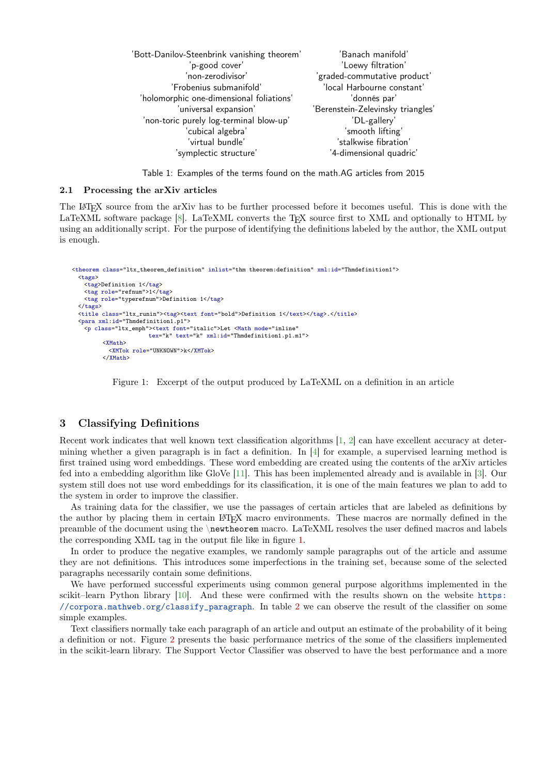| 'Bott-Danilov-Steenbrink vanishing theorem' | 'Banach manifold'                 |
|---------------------------------------------|-----------------------------------|
| 'p-good cover'                              | 'Loewy filtration'                |
| 'non-zerodivisor'                           | 'graded-commutative product'      |
| 'Frobenius submanifold'                     | 'local Harbourne constant'        |
| 'holomorphic one-dimensional foliations'    | 'donnés par'                      |
| 'universal expansion'                       | 'Berenstein-Zelevinsky triangles' |
| 'non-toric purely log-terminal blow-up'     | 'DL-gallery'                      |
| 'cubical algebra'                           | 'smooth lifting'                  |
| 'virtual bundle'                            | 'stalkwise fibration'             |
| 'symplectic structure'                      | '4-dimensional quadric'           |
|                                             |                                   |

Table 1: Examples of the terms found on the math.AG articles from 2015

#### 2.1 Processing the arXiv articles

The LATEX source from the arXiv has to be further processed before it becomes useful. This is done with the LaTeXML software package [\[8\]](#page-5-0). LaTeXML converts the T<sub>EX</sub> source first to XML and optionally to HTML by using an additionally script. For the purpose of identifying the definitions labeled by the author, the XML output is enough.

```
<theorem class="ltx_theorem_definition" inlist="thm theorem:definition" xml:id="Thmdefinition1">
<tags>
  <tag>Definition 1</tag>
  <tag role="refnum">1</tag>
  <tag role="typerefnum">Definition 1</tag>
 </tags>
 <title class="ltx_runin"><tag><text font="bold">Definition 1</text></tag>.</title>
 <para xml:id="Thmdefinition1.p1">
  <p class="ltx_emph"><text font="italic">Let <Math mode="inline"
                     tex="k" text="k" xml:id="Thmdefinition1.p1.m1">
        <XMath>
         <XMTok role="UNKNOWN">k</XMTok>
        </XMath>
```
<span id="page-1-0"></span>Figure 1: Excerpt of the output produced by LaTeXML on a definition in an article

## 3 Classifying Definitions

Recent work indicates that well known text classification algorithms [\[1,](#page-4-0) [2\]](#page-4-1) can have excellent accuracy at determining whether a given paragraph is in fact a definition. In [\[4\]](#page-4-2) for example, a supervised learning method is first trained using word embeddings. These word embedding are created using the contents of the arXiv articles fed into a embedding algorithm like GloVe [\[11\]](#page-5-1). This has been implemented already and is available in [\[3\]](#page-4-3). Our system still does not use word embeddings for its classification, it is one of the main features we plan to add to the system in order to improve the classifier.

As training data for the classifier, we use the passages of certain articles that are labeled as definitions by the author by placing them in certain LATEX macro environments. These macros are normally defined in the preamble of the document using the \newtheorem macro. LaTeXML resolves the user defined macros and labels the corresponding XML tag in the output file like in figure [1.](#page-1-0)

In order to produce the negative examples, we randomly sample paragraphs out of the article and assume they are not definitions. This introduces some imperfections in the training set, because some of the selected paragraphs necessarily contain some definitions.

We have performed successful experiments using common general purpose algorithms implemented in the scikit–learn Python library [\[10\]](#page-5-2). And these were confirmed with the results shown on the website [https:](https://corpora.mathweb.org/classify_paragraph) [//corpora.mathweb.org/classify\\_paragraph](https://corpora.mathweb.org/classify_paragraph). In table [2](#page-2-0) we can observe the result of the classifier on some simple examples.

Text classifiers normally take each paragraph of an article and output an estimate of the probability of it being a definition or not. Figure [2](#page-2-1) presents the basic performance metrics of the some of the classifiers implemented in the scikit-learn library. The Support Vector Classifier was observed to have the best performance and a more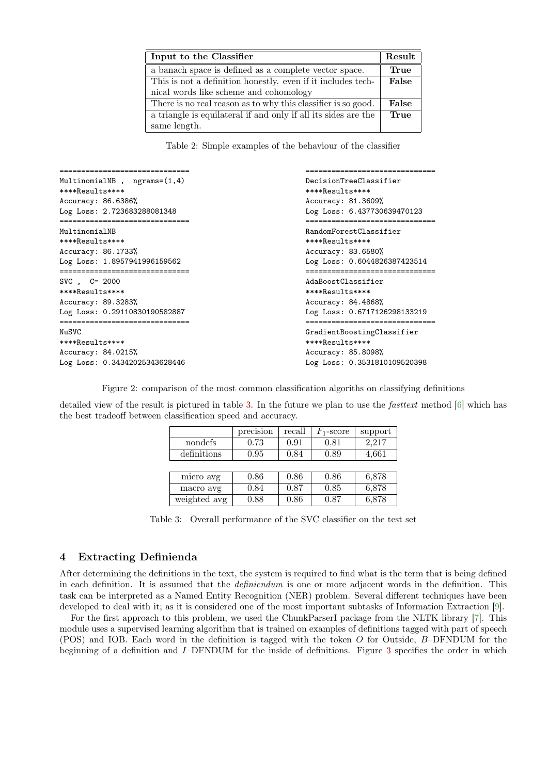| Input to the Classifier                                        | Result |
|----------------------------------------------------------------|--------|
| a banach space is defined as a complete vector space.          | True   |
| This is not a definition honestly, even if it includes tech-   | False  |
| nical words like scheme and cohomology                         |        |
| There is no real reason as to why this classifier is so good.  | False  |
| a triangle is equilateral if and only if all its sides are the | True   |
| same length.                                                   |        |

<span id="page-2-0"></span>Table 2: Simple examples of the behaviour of the classifier

| MultinomialNB, $ngrams=(1,4)$<br>****Results****         | DecisionTreeClassifier<br>****Results**** |  |  |  |
|----------------------------------------------------------|-------------------------------------------|--|--|--|
| Accuracy: 86.6386%                                       | Accuracy: 81.3609%                        |  |  |  |
| Log Loss: 2.723683288081348<br>========================= | Log Loss: 6.437730639470123               |  |  |  |
| MultinomialNB                                            | RandomForestClassifier                    |  |  |  |
| ****Results****                                          | ****Results****                           |  |  |  |
| Accuracy: 86.1733%                                       | Accuracy: 83.6580%                        |  |  |  |
| Log Loss: 1.8957941996159562                             | Log Loss: 0.6044826387423514              |  |  |  |
| $SVC$ , $C= 2000$                                        | AdaBoostClassifier                        |  |  |  |
| $***Res111ts***$                                         | ****Results****                           |  |  |  |
| Accuracy: 89.3283%                                       | Accuracy: 84.4868%                        |  |  |  |
| Log Loss: 0.29110830190582887                            | Log Loss: 0.6717126298133219              |  |  |  |
| NuSVC                                                    | GradientBoostingClassifier                |  |  |  |
| ****Results****                                          | ****Results****                           |  |  |  |
| Accuracy: 84.0215%                                       | Accuracy: 85.8098%                        |  |  |  |
| Log Loss: 0.34342025343628446                            | Log Loss: 0.3531810109520398              |  |  |  |

<span id="page-2-1"></span>Figure 2: comparison of the most common classification algoriths on classifying definitions

detailed view of the result is pictured in table [3.](#page-2-2) In the future we plan to use the fasttext method [\[6\]](#page-5-3) which has the best tradeoff between classification speed and accuracy.

|              | precision | recall | $F_1$ -score | support |
|--------------|-----------|--------|--------------|---------|
| nondefs      | 0.73      | 0.91   | 0.81         | 2,217   |
| definitions  | 0.95      | 0.84   | 0.89         | 4,661   |
|              |           |        |              |         |
| micro avg    | 0.86      | 0.86   | 0.86         | 6,878   |
| macro avg    | 0.84      | 0.87   | 0.85         | 6,878   |
| weighted avg | 0.88      | 0.86   | 0.87         | 6,878   |

<span id="page-2-2"></span>Table 3: Overall performance of the SVC classifier on the test set

## 4 Extracting Definienda

After determining the definitions in the text, the system is required to find what is the term that is being defined in each definition. It is assumed that the definiendum is one or more adjacent words in the definition. This task can be interpreted as a Named Entity Recognition (NER) problem. Several different techniques have been developed to deal with it; as it is considered one of the most important subtasks of Information Extraction [\[9\]](#page-5-4).

For the first approach to this problem, we used the ChunkParserI package from the NLTK library [\[7\]](#page-5-5). This module uses a supervised learning algorithm that is trained on examples of definitions tagged with part of speech (POS) and IOB. Each word in the definition is tagged with the token  $O$  for Outside,  $B$ –DFNDUM for the beginning of a definition and I–DFNDUM for the inside of definitions. Figure [3](#page-3-0) specifies the order in which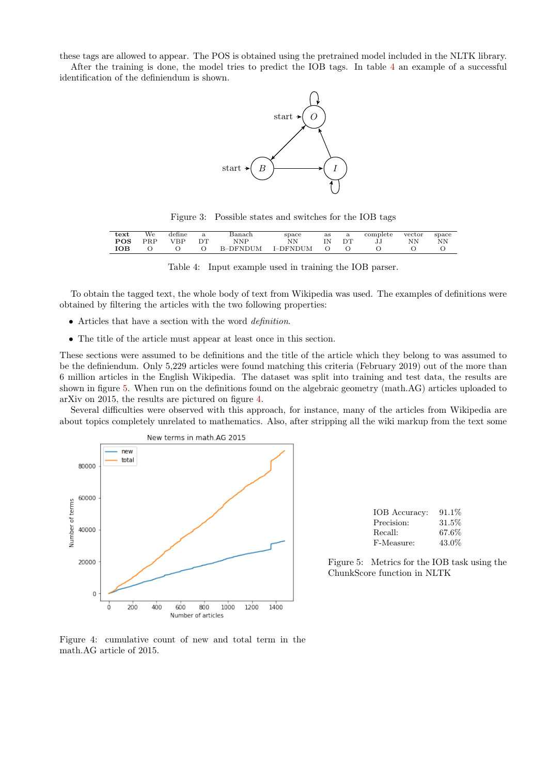these tags are allowed to appear. The POS is obtained using the pretrained model included in the NLTK library.

After the training is done, the model tries to predict the IOB tags. In table [4](#page-3-1) an example of a successful identification of the definiendum is shown.



<span id="page-3-0"></span>Figure 3: Possible states and switches for the IOB tags

| text       | We  | define     | a  | Banach   | space    | as |    | complete | vector | space |
|------------|-----|------------|----|----------|----------|----|----|----------|--------|-------|
| <b>POS</b> | PRP | <b>VBP</b> | DT | NNP      | NΝ       |    | DТ | JJ       | NΝ     | NΝ    |
| ЮB         |     |            |    | B-DFNDUM | I-DFNDUM |    |    |          |        |       |

<span id="page-3-1"></span>

| Table 4: Input example used in training the IOB parser. |  |  |  |  |  |  |  |  |
|---------------------------------------------------------|--|--|--|--|--|--|--|--|
|---------------------------------------------------------|--|--|--|--|--|--|--|--|

To obtain the tagged text, the whole body of text from Wikipedia was used. The examples of definitions were obtained by filtering the articles with the two following properties:

- Articles that have a section with the word definition.
- The title of the article must appear at least once in this section.

These sections were assumed to be definitions and the title of the article which they belong to was assumed to be the definiendum. Only 5,229 articles were found matching this criteria (February 2019) out of the more than 6 million articles in the English Wikipedia. The dataset was split into training and test data, the results are shown in figure [5.](#page-3-2) When run on the definitions found on the algebraic geometry (math.AG) articles uploaded to arXiv on 2015, the results are pictured on figure [4.](#page-3-3)

Several difficulties were observed with this approach, for instance, many of the articles from Wikipedia are about topics completely unrelated to mathematics. Also, after stripping all the wiki markup from the text some



| IOB Accuracy: | $91.1\%$ |
|---------------|----------|
| Precision:    | 31.5%    |
| Recall:       | 67.6%    |
| F-Measure:    | 43.0%    |

<span id="page-3-2"></span>Figure 5: Metrics for the IOB task using the ChunkScore function in NLTK

<span id="page-3-3"></span>Figure 4: cumulative count of new and total term in the math.AG article of 2015.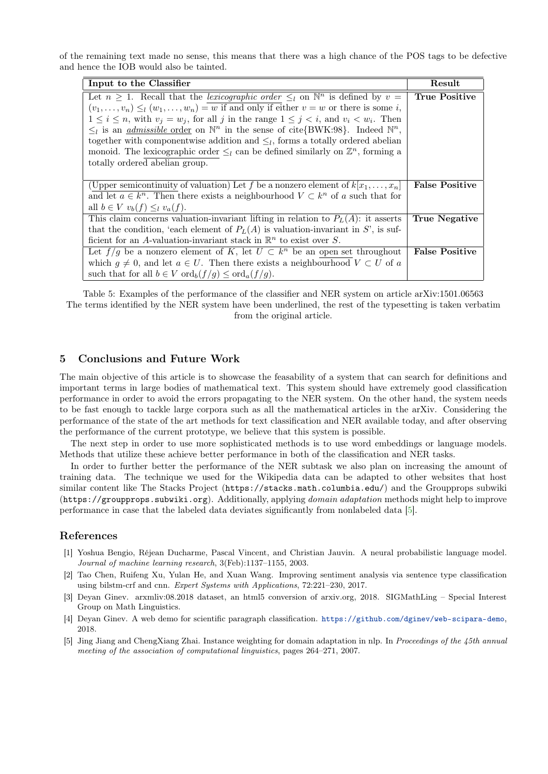of the remaining text made no sense, this means that there was a high chance of the POS tags to be defective and hence the IOB would also be tainted.

| Input to the Classifier                                                                                        | Result                |
|----------------------------------------------------------------------------------------------------------------|-----------------------|
| Let $n \geq 1$ . Recall that the <i>lexicographic order</i> $\leq_l$ on $\mathbb{N}^n$ is defined by $v =$     | <b>True Positive</b>  |
| $(v_1, \ldots, v_n) \leq_l (w_1, \ldots, w_n) = w$ if and only if either $v = w$ or there is some i,           |                       |
| $1 \leq i \leq n$ , with $v_i = w_i$ , for all j in the range $1 \leq j \leq i$ , and $v_i \leq w_i$ . Then    |                       |
| $\leq_l$ is an <i>admissible</i> order on $\mathbb{N}^n$ in the sense of cite{BWK:98}. Indeed $\mathbb{N}^n$ , |                       |
| together with componentwise addition and $\leq_l$ , forms a totally ordered abelian                            |                       |
| monoid. The lexicographic order $\leq_l$ can be defined similarly on $\mathbb{Z}^n$ , forming a                |                       |
| totally ordered abelian group.                                                                                 |                       |
|                                                                                                                |                       |
| (Upper semicontinuity of valuation) Let f be a nonzero element of $k[x_1,\ldots,x_n]$                          | <b>False Positive</b> |
| and let $a \in k^n$ . Then there exists a neighbourhood $V \subset k^n$ of a such that for                     |                       |
| all $b \in V$ $v_b(f) \leq_l v_a(f)$ .                                                                         |                       |
| This claim concerns valuation-invariant lifting in relation to $PL(A)$ : it asserts                            | <b>True Negative</b>  |
| that the condition, 'each element of $P_L(A)$ is valuation-invariant in S', is suf-                            |                       |
| ficient for an A-valuation-invariant stack in $\mathbb{R}^n$ to exist over S.                                  |                       |
| Let $f/g$ be a nonzero element of K, let $U \subset k^n$ be an open set throughout                             | <b>False Positive</b> |
| which $g \neq 0$ , and let $a \in U$ . Then there exists a neighbourhood $V \subset U$ of a                    |                       |
| such that for all $b \in V$ ord <sub><math>b</math></sub> $(f/q) \leq$ ord <sub>a</sub> $(f/q)$ .              |                       |

Table 5: Examples of the performance of the classifier and NER system on article arXiv:1501.06563 The terms identified by the NER system have been underlined, the rest of the typesetting is taken verbatim from the original article.

## 5 Conclusions and Future Work

The main objective of this article is to showcase the feasability of a system that can search for definitions and important terms in large bodies of mathematical text. This system should have extremely good classification performance in order to avoid the errors propagating to the NER system. On the other hand, the system needs to be fast enough to tackle large corpora such as all the mathematical articles in the arXiv. Considering the performance of the state of the art methods for text classification and NER available today, and after observing the performance of the current prototype, we believe that this system is possible.

The next step in order to use more sophisticated methods is to use word embeddings or language models. Methods that utilize these achieve better performance in both of the classification and NER tasks.

In order to further better the performance of the NER subtask we also plan on increasing the amount of training data. The technique we used for the Wikipedia data can be adapted to other websites that host similar content like The Stacks Project (https://stacks.math.columbia.edu/) and the Groupprops subwiki (https://groupprops.subwiki.org). Additionally, applying domain adaptation methods might help to improve performance in case that the labeled data deviates significantly from nonlabeled data [\[5\]](#page-4-4).

### References

- <span id="page-4-0"></span>[1] Yoshua Bengio, Réjean Ducharme, Pascal Vincent, and Christian Jauvin. A neural probabilistic language model. Journal of machine learning research, 3(Feb):1137–1155, 2003.
- <span id="page-4-1"></span>[2] Tao Chen, Ruifeng Xu, Yulan He, and Xuan Wang. Improving sentiment analysis via sentence type classification using bilstm-crf and cnn. Expert Systems with Applications, 72:221–230, 2017.
- <span id="page-4-3"></span>[3] Deyan Ginev. arxmliv:08.2018 dataset, an html5 conversion of arxiv.org, 2018. SIGMathLing – Special Interest Group on Math Linguistics.
- <span id="page-4-2"></span>[4] Deyan Ginev. A web demo for scientific paragraph classification. <https://github.com/dginev/web-scipara-demo>, 2018.
- <span id="page-4-4"></span>[5] Jing Jiang and ChengXiang Zhai. Instance weighting for domain adaptation in nlp. In Proceedings of the 45th annual meeting of the association of computational linguistics, pages 264–271, 2007.